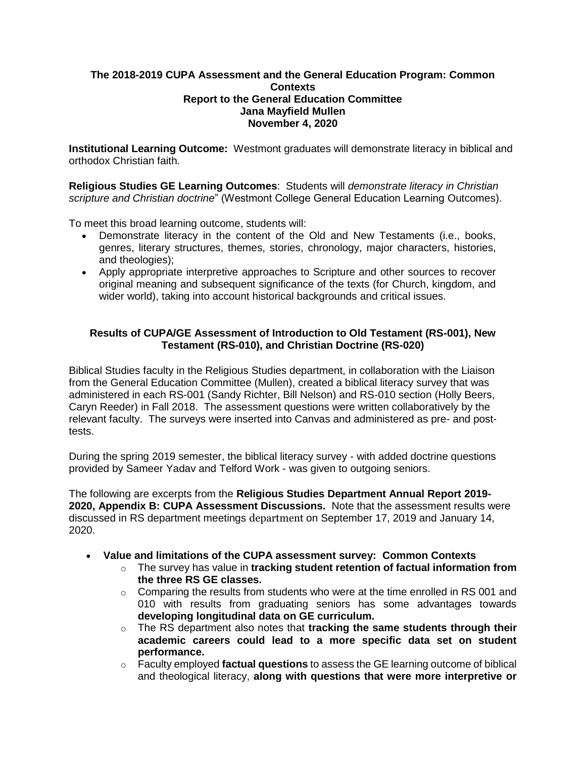## **The 2018-2019 CUPA Assessment and the General Education Program: Common Contexts Report to the General Education Committee Jana Mayfield Mullen November 4, 2020**

**Institutional Learning Outcome:** Westmont graduates will demonstrate literacy in biblical and orthodox Christian faith.

**Religious Studies GE Learning Outcomes**: Students will *demonstrate literacy in Christian scripture and Christian doctrine*" (Westmont College General Education Learning Outcomes).

To meet this broad learning outcome, students will:

- Demonstrate literacy in the content of the Old and New Testaments (i.e., books, genres, literary structures, themes, stories, chronology, major characters, histories, and theologies);
- Apply appropriate interpretive approaches to Scripture and other sources to recover original meaning and subsequent significance of the texts (for Church, kingdom, and wider world), taking into account historical backgrounds and critical issues.

# **Results of CUPA/GE Assessment of Introduction to Old Testament (RS-001), New Testament (RS-010), and Christian Doctrine (RS-020)**

Biblical Studies faculty in the Religious Studies department, in collaboration with the Liaison from the General Education Committee (Mullen), created a biblical literacy survey that was administered in each RS-001 (Sandy Richter, Bill Nelson) and RS-010 section (Holly Beers, Caryn Reeder) in Fall 2018. The assessment questions were written collaboratively by the relevant faculty. The surveys were inserted into Canvas and administered as pre- and posttests.

During the spring 2019 semester, the biblical literacy survey - with added doctrine questions provided by Sameer Yadav and Telford Work - was given to outgoing seniors.

The following are excerpts from the **Religious Studies Department Annual Report 2019- 2020, Appendix B: CUPA Assessment Discussions.** Note that the assessment results were discussed in RS department meetings department on September 17, 2019 and January 14, 2020.

- **Value and limitations of the CUPA assessment survey: Common Contexts**
	- o The survey has value in **tracking student retention of factual information from the three RS GE classes.**
	- $\circ$  Comparing the results from students who were at the time enrolled in RS 001 and 010 with results from graduating seniors has some advantages towards **developing longitudinal data on GE curriculum.**
	- o The RS department also notes that **tracking the same students through their academic careers could lead to a more specific data set on student performance.**
	- o Faculty employed **factual questions** to assess the GE learning outcome of biblical and theological literacy, **along with questions that were more interpretive or**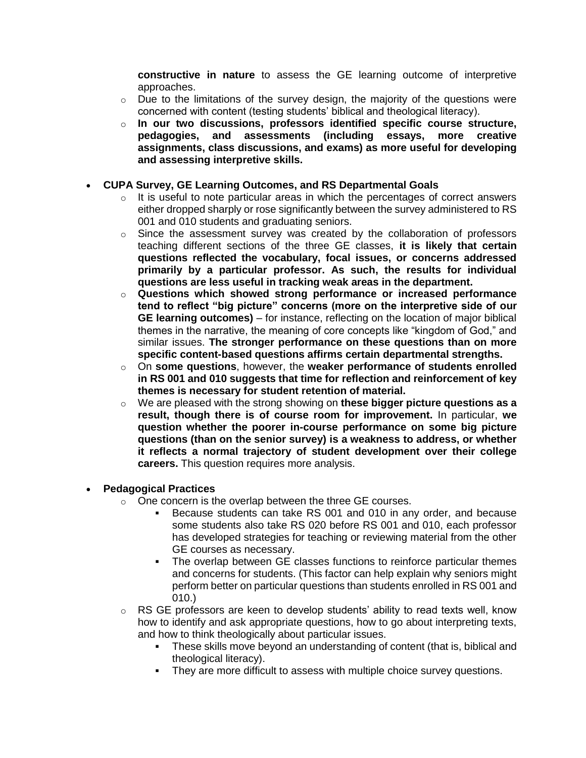**constructive in nature** to assess the GE learning outcome of interpretive approaches.

- $\circ$  Due to the limitations of the survey design, the majority of the questions were concerned with content (testing students' biblical and theological literacy).
- o **In our two discussions, professors identified specific course structure, pedagogies, and assessments (including essays, more creative assignments, class discussions, and exams) as more useful for developing and assessing interpretive skills.**

## **CUPA Survey, GE Learning Outcomes, and RS Departmental Goals**

- $\circ$  It is useful to note particular areas in which the percentages of correct answers either dropped sharply or rose significantly between the survey administered to RS 001 and 010 students and graduating seniors.
- $\circ$  Since the assessment survey was created by the collaboration of professors teaching different sections of the three GE classes, **it is likely that certain questions reflected the vocabulary, focal issues, or concerns addressed primarily by a particular professor. As such, the results for individual questions are less useful in tracking weak areas in the department.**
- o **Questions which showed strong performance or increased performance tend to reflect "big picture" concerns (more on the interpretive side of our GE learning outcomes)** – for instance, reflecting on the location of major biblical themes in the narrative, the meaning of core concepts like "kingdom of God," and similar issues. **The stronger performance on these questions than on more specific content-based questions affirms certain departmental strengths.**
- o On **some questions**, however, the **weaker performance of students enrolled in RS 001 and 010 suggests that time for reflection and reinforcement of key themes is necessary for student retention of material.**
- o We are pleased with the strong showing on **these bigger picture questions as a result, though there is of course room for improvement.** In particular, **we question whether the poorer in-course performance on some big picture questions (than on the senior survey) is a weakness to address, or whether it reflects a normal trajectory of student development over their college careers.** This question requires more analysis.

#### **Pedagogical Practices**

- o One concern is the overlap between the three GE courses.
	- Because students can take RS 001 and 010 in any order, and because some students also take RS 020 before RS 001 and 010, each professor has developed strategies for teaching or reviewing material from the other GE courses as necessary.
	- The overlap between GE classes functions to reinforce particular themes and concerns for students. (This factor can help explain why seniors might perform better on particular questions than students enrolled in RS 001 and 010.)
- $\circ$  RS GE professors are keen to develop students' ability to read texts well, know how to identify and ask appropriate questions, how to go about interpreting texts, and how to think theologically about particular issues.
	- These skills move beyond an understanding of content (that is, biblical and theological literacy).
	- They are more difficult to assess with multiple choice survey questions.